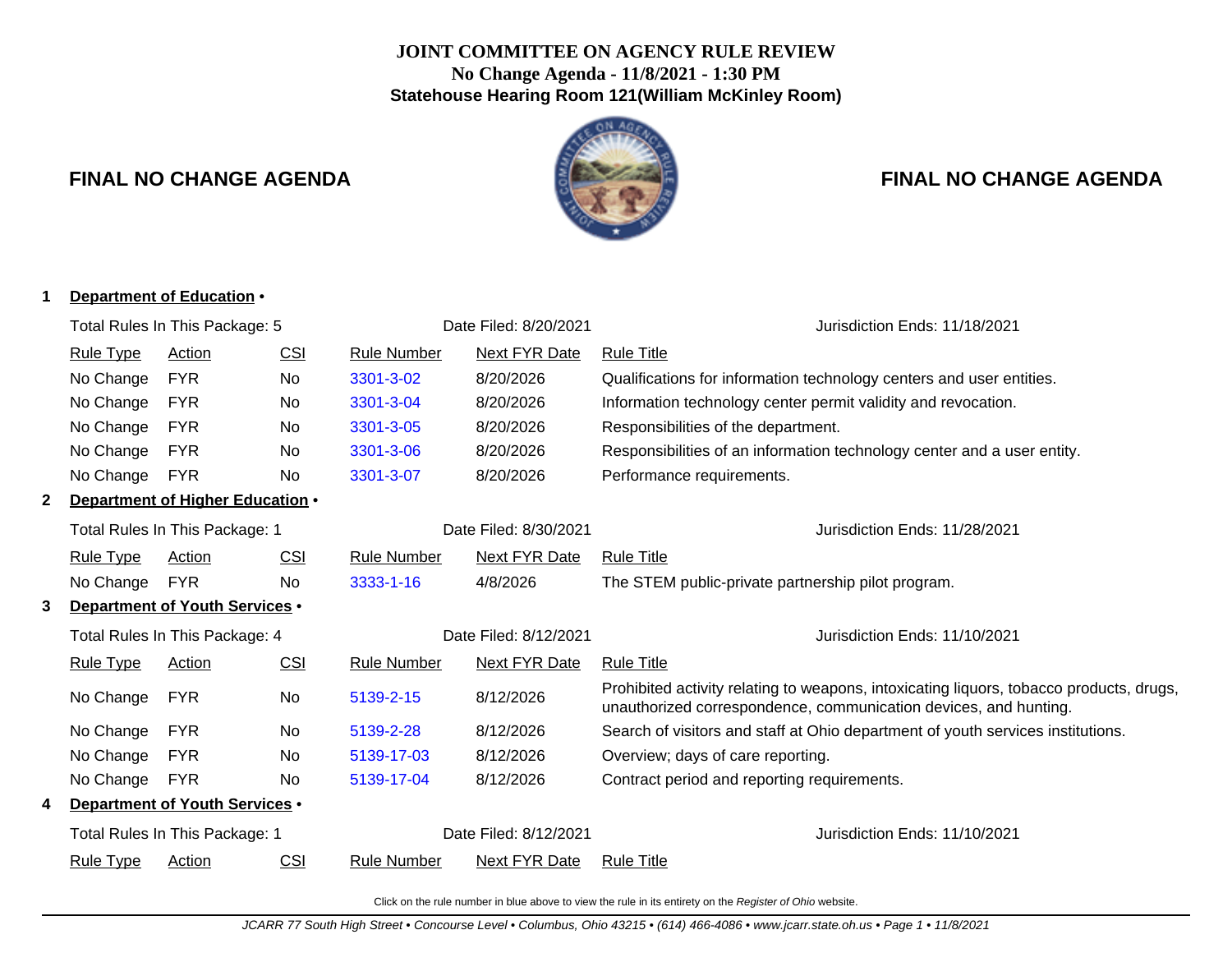## **JOINT COMMITTEE ON AGENCY RULE REVIEW No Change Agenda - 11/8/2021 - 1:30 PM Statehouse Hearing Room 121(William McKinley Room)**



# **FINAL NO CHANGE AGENDA FINAL NO CHANGE AGENDA**

### **1 Department of Education** •

|                                     | Total Rules In This Package: 5 |                                  |            |                       | Date Filed: 8/20/2021         | Jurisdiction Ends: 11/18/2021                                                                                                                               |
|-------------------------------------|--------------------------------|----------------------------------|------------|-----------------------|-------------------------------|-------------------------------------------------------------------------------------------------------------------------------------------------------------|
|                                     | <b>Rule Type</b>               | <b>Action</b>                    | <u>CSI</u> | <b>Rule Number</b>    | <b>Next FYR Date</b>          | <b>Rule Title</b>                                                                                                                                           |
|                                     | No Change                      | <b>FYR</b>                       | No         | 3301-3-02             | 8/20/2026                     | Qualifications for information technology centers and user entities.                                                                                        |
|                                     | No Change                      | <b>FYR</b>                       | No.        | 3301-3-04             | 8/20/2026                     | Information technology center permit validity and revocation.                                                                                               |
|                                     | No Change                      | <b>FYR</b>                       | No         | 3301-3-05             | 8/20/2026                     | Responsibilities of the department.                                                                                                                         |
|                                     | No Change                      | <b>FYR</b>                       | No.        | 3301-3-06             | 8/20/2026                     | Responsibilities of an information technology center and a user entity.                                                                                     |
|                                     | No Change                      | <b>FYR</b>                       | No         | 3301-3-07             | 8/20/2026                     | Performance requirements.                                                                                                                                   |
|                                     |                                | Department of Higher Education . |            |                       |                               |                                                                                                                                                             |
|                                     | Total Rules In This Package: 1 |                                  |            |                       | Date Filed: 8/30/2021         | Jurisdiction Ends: 11/28/2021                                                                                                                               |
|                                     | <b>Rule Type</b>               | Action                           | CSI        | Rule Number           | Next FYR Date                 | <b>Rule Title</b>                                                                                                                                           |
|                                     | No Change                      | <b>FYR</b>                       | No.        | 3333-1-16             | 4/8/2026                      | The STEM public-private partnership pilot program.                                                                                                          |
| Department of Youth Services .<br>3 |                                |                                  |            |                       |                               |                                                                                                                                                             |
|                                     | Total Rules In This Package: 4 |                                  |            | Date Filed: 8/12/2021 | Jurisdiction Ends: 11/10/2021 |                                                                                                                                                             |
|                                     | <b>Rule Type</b>               | Action                           | CSI        | <b>Rule Number</b>    | <b>Next FYR Date</b>          | <b>Rule Title</b>                                                                                                                                           |
|                                     | No Change                      | <b>FYR</b>                       | No         | 5139-2-15             | 8/12/2026                     | Prohibited activity relating to weapons, intoxicating liquors, tobacco products, drugs,<br>unauthorized correspondence, communication devices, and hunting. |
|                                     | No Change                      | <b>FYR</b>                       | No         | 5139-2-28             | 8/12/2026                     | Search of visitors and staff at Ohio department of youth services institutions.                                                                             |
|                                     | No Change                      | <b>FYR</b>                       | No.        | 5139-17-03            | 8/12/2026                     | Overview; days of care reporting.                                                                                                                           |
|                                     | No Change                      | <b>FYR</b>                       | No.        | 5139-17-04            | 8/12/2026                     | Contract period and reporting requirements.                                                                                                                 |
| Department of Youth Services .      |                                |                                  |            |                       |                               |                                                                                                                                                             |
|                                     | Total Rules In This Package: 1 |                                  |            |                       | Date Filed: 8/12/2021         | Jurisdiction Ends: 11/10/2021                                                                                                                               |
|                                     | <b>Rule Type</b>               | Action                           | <u>CSI</u> | <b>Rule Number</b>    | Next FYR Date                 | <b>Rule Title</b>                                                                                                                                           |
|                                     |                                |                                  |            |                       |                               |                                                                                                                                                             |

Click on the rule number in blue above to view the rule in its entirety on the Register of Ohio website.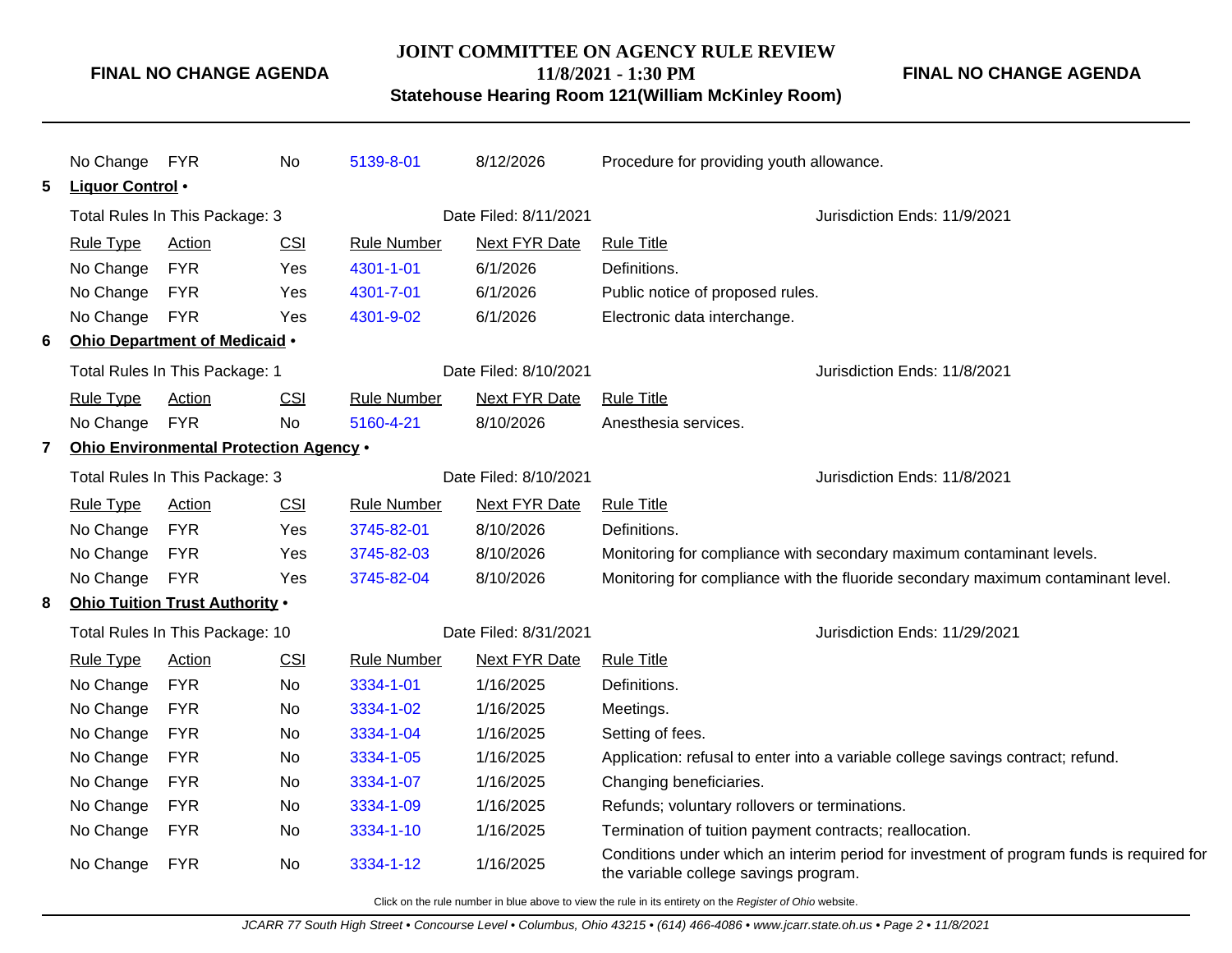#### **FINAL NO CHANGE AGENDA**

#### **JOINT COMMITTEE ON AGENCY RULE REVIEW**

**FINAL NO CHANGE AGENDA**

**11/8/2021 - 1:30 PM Statehouse Hearing Room 121(William McKinley Room)**

|   | No Change                       | <b>FYR</b>                             | No  | 5139-8-01             | 8/12/2026                    | Procedure for providing youth allowance.                                                                                          |
|---|---------------------------------|----------------------------------------|-----|-----------------------|------------------------------|-----------------------------------------------------------------------------------------------------------------------------------|
| 5 | Liquor Control •                |                                        |     |                       |                              |                                                                                                                                   |
|   | Total Rules In This Package: 3  |                                        |     |                       | Date Filed: 8/11/2021        | Jurisdiction Ends: 11/9/2021                                                                                                      |
|   | <b>Rule Type</b>                | Action                                 | CSI | <b>Rule Number</b>    | Next FYR Date                | <b>Rule Title</b>                                                                                                                 |
|   | No Change                       | <b>FYR</b>                             | Yes | 4301-1-01             | 6/1/2026                     | Definitions.                                                                                                                      |
|   | No Change                       | <b>FYR</b>                             | Yes | 4301-7-01             | 6/1/2026                     | Public notice of proposed rules.                                                                                                  |
|   | No Change                       | <b>FYR</b>                             | Yes | 4301-9-02             | 6/1/2026                     | Electronic data interchange.                                                                                                      |
| 6 |                                 | Ohio Department of Medicaid .          |     |                       |                              |                                                                                                                                   |
|   | Total Rules In This Package: 1  |                                        |     |                       | Date Filed: 8/10/2021        | Jurisdiction Ends: 11/8/2021                                                                                                      |
|   | <b>Rule Type</b>                | Action                                 | CSI | <b>Rule Number</b>    | <b>Next FYR Date</b>         | <b>Rule Title</b>                                                                                                                 |
|   | No Change                       | <b>FYR</b>                             | No  | 5160-4-21             | 8/10/2026                    | Anesthesia services.                                                                                                              |
| 7 |                                 | Ohio Environmental Protection Agency . |     |                       |                              |                                                                                                                                   |
|   | Total Rules In This Package: 3  |                                        |     | Date Filed: 8/10/2021 | Jurisdiction Ends: 11/8/2021 |                                                                                                                                   |
|   | <b>Rule Type</b>                | Action                                 | CSI | <b>Rule Number</b>    | <b>Next FYR Date</b>         | <b>Rule Title</b>                                                                                                                 |
|   | No Change                       | <b>FYR</b>                             | Yes | 3745-82-01            | 8/10/2026                    | Definitions.                                                                                                                      |
|   | No Change                       | <b>FYR</b>                             | Yes | 3745-82-03            | 8/10/2026                    | Monitoring for compliance with secondary maximum contaminant levels.                                                              |
|   | No Change                       | <b>FYR</b>                             | Yes | 3745-82-04            | 8/10/2026                    | Monitoring for compliance with the fluoride secondary maximum contaminant level.                                                  |
| 8 |                                 | Ohio Tuition Trust Authority .         |     |                       |                              |                                                                                                                                   |
|   | Total Rules In This Package: 10 |                                        |     |                       | Date Filed: 8/31/2021        | Jurisdiction Ends: 11/29/2021                                                                                                     |
|   | <b>Rule Type</b>                | <b>Action</b>                          | CSI | <b>Rule Number</b>    | <b>Next FYR Date</b>         | <b>Rule Title</b>                                                                                                                 |
|   | No Change                       | <b>FYR</b>                             | No  | 3334-1-01             | 1/16/2025                    | Definitions.                                                                                                                      |
|   | No Change                       | <b>FYR</b>                             | No. | 3334-1-02             | 1/16/2025                    | Meetings.                                                                                                                         |
|   | No Change                       | <b>FYR</b>                             | No  | 3334-1-04             | 1/16/2025                    | Setting of fees.                                                                                                                  |
|   | No Change                       | <b>FYR</b>                             | No. | 3334-1-05             | 1/16/2025                    | Application: refusal to enter into a variable college savings contract; refund.                                                   |
|   | No Change                       | <b>FYR</b>                             | No  | 3334-1-07             | 1/16/2025                    | Changing beneficiaries.                                                                                                           |
|   | No Change                       | <b>FYR</b>                             | No. | 3334-1-09             | 1/16/2025                    | Refunds; voluntary rollovers or terminations.                                                                                     |
|   | No Change                       | <b>FYR</b>                             | No  | 3334-1-10             | 1/16/2025                    | Termination of tuition payment contracts; reallocation.                                                                           |
|   | No Change                       | <b>FYR</b>                             | No  | 3334-1-12             | 1/16/2025                    | Conditions under which an interim period for investment of program funds is required for<br>the variable college savings program. |

Click on the rule number in blue above to view the rule in its entirety on the Register of Ohio website.